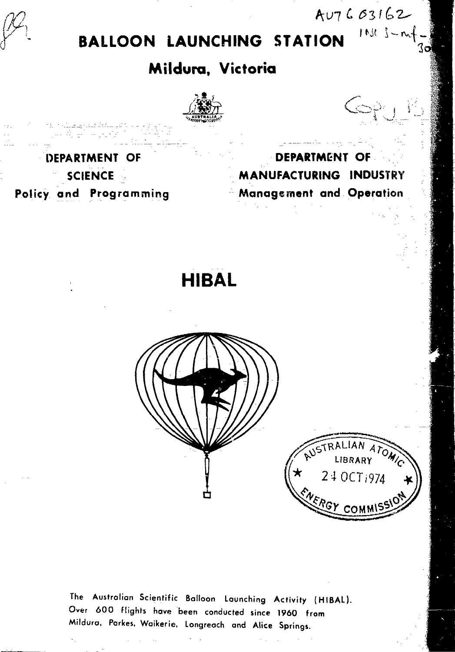**BALLOON LAUNCHING STATION**

# **Mildura, Victoria**

**'Jwq**

الرابعا المتنفس

 $A47603162$ 

 $\rightarrow$  T  $\rightarrow$   $\rightarrow$ 

 $111 - 1 - 1$ 

**DEPARTMENT OF MANUFACTURING INDUSTRY Management and Operation**

**DEPARTMENT OF SCIENCE Policy and Programming**

**HIBAL**



The Australian Scientific Balloon Launching Activity {HIBAL). Over 600 flights have been conducted since 1960 from Mildura, Parkes. Waikerie, Longreach and Alice Springs.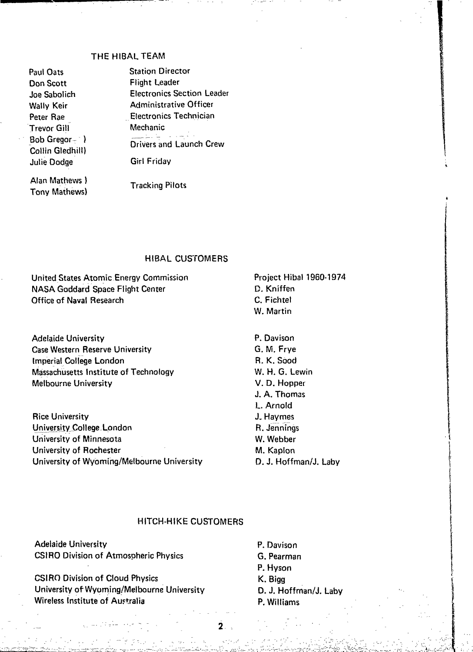## THE HIBAL TEAM

Paul Oats Don Scott Joe Sabolich Wally Keir Peter Rae Trevor Gill Bob Gregor $-$  ) Collin Gledhill) Julie Dodge

Station Director Flight Leader Electronics Section Leader Administrative Officer Electronics Technician Mechanic بالمستعلم Drivers and Launch Crew Girl Friday

Alan Mathews ) Tony Mathews)

Tracking Pilots

#### HIBAL CUSTOMERS

United States Atomic Energy Commission NASA Goddard Space Flight Center Office of Naval Research

Adelaide University Case Western Reserve University Imperial College London Massachusetts Institute of Technology Melbourne University

Rice University University College-London University of Minnesota University of Rochester University of Wyoming/Melbourne University Project Hibal 1960-1974 D. Kniffen C. Fichtel W. Martin

P. Davison G. M. Frye R. K. Sood W. H. G. Lewin V. D. Hopper J. A. Thomas L. Arnold J. Haymes R. Jennings W. Webber M. Kaplon D. J. Hoffman/J. Laby

## HITCH-HIKE CUSTOMERS

Adelaide University CSIRO Division of Atmospheric Physics

CSIRO Division of Cloud Physics University of Wyoming/Melbourne University Wireless Institute of Australia

P. Davison G. Pearman P. Hyson K. Bigg D. J. Hoffman/J. Laby P. Williams

**;:'; -rH**

 $2.3$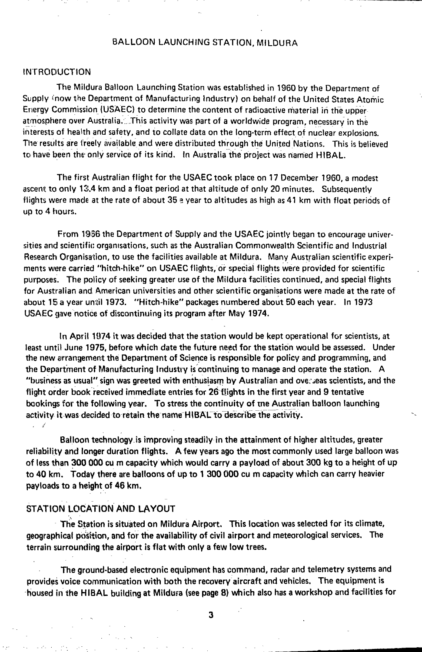## BALLOON LAUNCHING STATION, MILDURA

#### INTRODUCTION

The Mildura Balloon Launching Station was established in 1960 by the Department of Supply 'now the Department of Manufacturing Industry) on behalf of the United States Atomic Energy Commission (USAEC) to determine the content of radioactive material in the upper atmosphere over Australia. This activity was part of a worldwide program, necessary in the interests of health and safety, and to collate data on the long-term effect of nuclear explosions. The results are freely available and were distributed through the United Nations. This is believed to have been the only service of its kind. In Australia the project was named HIBAL.

The first Australian flight for the USAEC took place on 17 December 1960, a modest ascent to only 13.4 km and a float period at that altitude of only 20 minutes. Subsequently flights were made at the rate of about 35 a year to altitudes as high as 41 km with float periods of up to 4 hours.

From 1956 the Department of Supply and the USAEC jointly began to encourage universities and scientific organisations, such as the Australian Commonwealth Scientific and Industrial Research Organisation, to use the facilities available at Mildura. Many Australian scientific experiments were carried "hitch-hike" on USAEC flights, or special flights were provided for scientific purposes. The policy of seeking greater use of the Mildura facilities continued, and special flights for Australian and American universities and other scientific organisations were made at the rate of about 15 a year until 1973. "Hitch-hike" packages numbered about 50 each year. In 1973 USAEC gave notice of discontinuing its program after May 1974.

In April 1074 it was decided that the station would be kept operational for scientists, at least until June 1975, before which date the future need for the station would be assessed. Under the new arrangement the Department of Science is responsible for policy and programming, and the Department of Manufacturing Industry is continuing to manage and operate the station. A "business as usual" sign was greeted with enthusiasm by Australian and overseas scientists, and the flight order book received immediate entries for 26 flights in the first year and 9 tentative bookings for the following year. To stress the continuity of tne Australian balloon launching activity it was decided to retain the name HIBAL to describe the activity.

Balloon technology is improving steadily in the attainment of higher altitudes, greater reliability and longer duration flights. A few years ago the most commonly used large balloon was of less than 300 000 cu m capacity which would carry a pay load of about 300 kg to a height of up to 40 km. Today there are balloons of up to 1 300 000 cu m capacity which can carry heavier payloads to a height of 46 km.

# STATION LOCATION AND LAYOUT

The Station is situated on Mildura Airport. This location was selected for its climate, geographical position, and for the availability of civil airport and meteorological services. The terrain surrounding the airport is flat with only a few low trees.

The ground-based electronic equipment has command, radar and telemetry systems and provides voice communication with both the recovery aircraft and vehicles. The equipment is housed in the HIBAL building at Mildura (see page 8) which also has a workshop and facilities for

3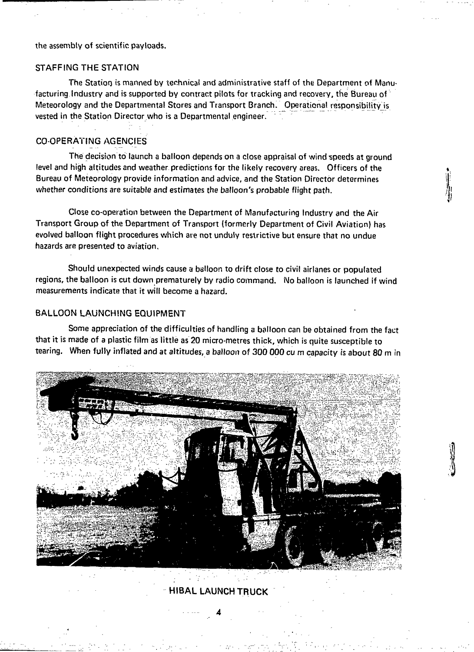the assembly of scientific payloads.

## STAFFING THE STATION

The Station is manned by technical and administrative staff of the Department of Manufacturing Industry and is supported by contract pilots for tracking and recovery, the Bureau of Meteorology and the Departmental Stores and Transport Branch. Operational responsibility is vested in the Station Director who is a Departmental engineer.

## COOPERATING AGENCIES

The decision to launch a balloon depends on a close appraisal of wind speeds at ground level and high altitudes and weather predictions for the likely recovery areas. Officers of the Bureau of Meteorology provide information and advice, and the Station Director determines whether conditions are suitable and estimates the balloon's probable flight path.

Close co-operation between the Department of Manufacturing Industry and the Air Transport Group of the Department of Transport (formerly Department of Civil Aviation) has evolved balloon flight procedures which are not unduly restrictive but ensure that no undue hazards are presented to aviation.

Should unexpected winds cause a balloon to drift close to civil airlanes or populated regions, the balloon is cut down prematurely by radio command. No balloon is launched if wind measurements indicate that it will become a hazard.

## BALLOON LAUNCHING EQUIPMENT

Some appreciation of the difficulties of handling a balloon can be obtained from the fact that it is made of a plastic film as little as 20 micro-metres thick, which is quite susceptible to tearing. When fully inflated and at altitudes, a balloon of 300 000 cu m capacity is about 80 m in



HIBAL LAUNCH TRUCK

4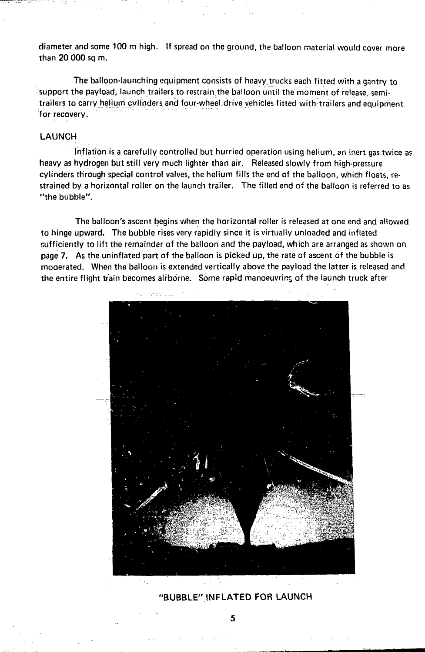diameter and some 100 m high. If spread on the ground, the balloon material would cover more than 20 000 sq m.

The balloon-launching equipment consists of heavy trucks each fitted with a gantry to support the payload, launch trailers to restrain the balloon until the moment of release, semitrailers to carry helium cylinders and four-wheel.drive vehicles fitted with trailers and equipment for recovery.

### LAUNCH

Inflation is a carefully controlled but hurried operation using helium, an inert gas twice as heavy as hydrogen but still very much lighter than air. Released slowly from high-pressure cylinders through special control valves, the helium fills the end of the balloon, which floats, restrained by a horizontal roller on the launch trailer. The filled end of the balloon is referred to as "the bubble".

The balloon's ascent begins when the horizontal roller is released at one end and allowed to hinge upward. The bubble rises very rapidly since it is virtually unloaded and inflated sufficiently to lift the remainder of the balloon and the payload, which are arranged as shown on page 7. As the uninflated part of the balloon is picked up, the rate of ascent of the bubble is moaerated. When the balloon is extended vertically above the payload the latter is released and the entire flight train becomes airborne. Some rapid manoeuvring of the launch truck after



# 'BUBBLE" INFLATED FOR LAUNCH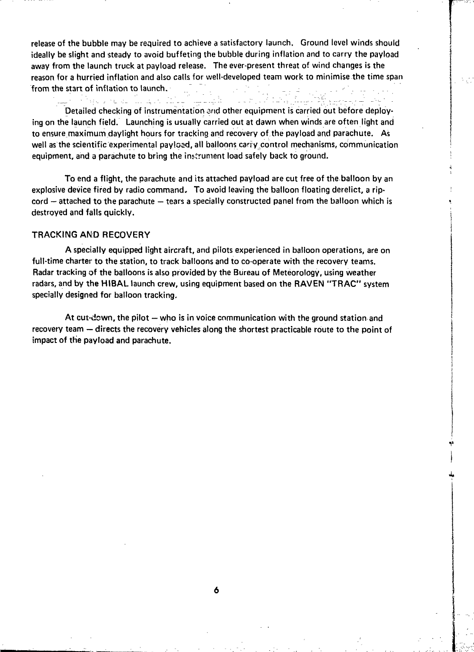release of the bubble may be required to achieve a satisfactory launch. Ground level winds should ideally be slight and steady to avoid buffeting the bubble during inflation and to carry the payload away from the launch truck at paytoad release. The ever-present threat of wind changes is the reason for a hurried inflation and also calls for well-developed team work to minimise the time span from the start of inflation to launch.

a na matao ao amin'ny faritr'i Nord-A Detailed checking of instrumentation and other equipment is carried out before deploying on the launch field. Launching is usually carried out at dawn when winds are often light and to ensure maximum daylight hours for tracking and recovery of the payload and parachute. As well as the scientific experimental payioad, all balloons carry control mechanisms, communication equipment, and a parachute to bring the instrument load safely back to ground.

To end a flight, the parachute and its attached payload are cut free of the balloon by an explosive device fired by radio command. To avoid leaving the balloon floating derelict, a ripcord — attached to the parachute — tears a specially constructed panel from the balloon which is destroyed and falls quickly.

#### TRACKING AND RECOVERY

A specially equipped light aircraft, and pilots experienced in balloon operations, are on full-time charter to the station, to track balloons and to co-operate with the recovery teams. Radar tracking of the balloons is also provided by the Bureau of Meteorology, using weather radars, and by the HIBAL launch crew, using equipment based on the RAVEN "TRAC" system specially designed for balloon tracking.

At cut-down, the pilot — who is in voice communication with the ground station and recovery team — directs the recovery vehicles along the shortest practicable route to the point of impact of the payload and parachute.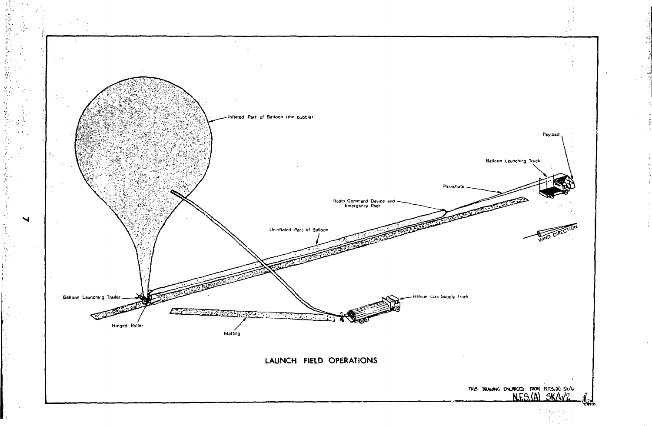